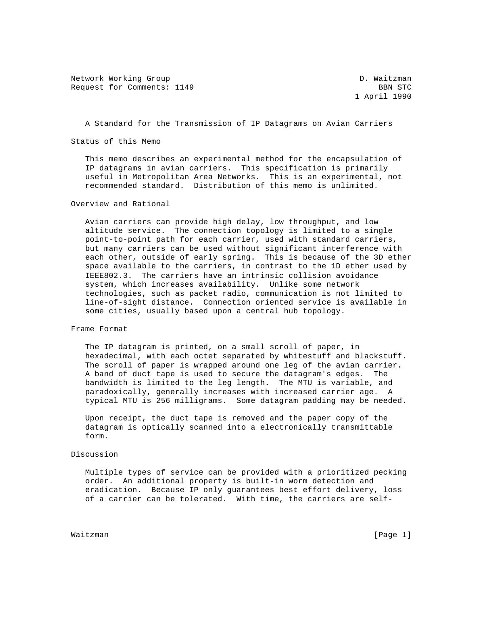Network Working Group and the contract of the D. Waitzman Request for Comments: 1149 BBN STC

1 April 1990

A Standard for the Transmission of IP Datagrams on Avian Carriers

Status of this Memo

 This memo describes an experimental method for the encapsulation of IP datagrams in avian carriers. This specification is primarily useful in Metropolitan Area Networks. This is an experimental, not recommended standard. Distribution of this memo is unlimited.

## Overview and Rational

 Avian carriers can provide high delay, low throughput, and low altitude service. The connection topology is limited to a single point-to-point path for each carrier, used with standard carriers, but many carriers can be used without significant interference with each other, outside of early spring. This is because of the 3D ether space available to the carriers, in contrast to the 1D ether used by IEEE802.3. The carriers have an intrinsic collision avoidance system, which increases availability. Unlike some network technologies, such as packet radio, communication is not limited to line-of-sight distance. Connection oriented service is available in some cities, usually based upon a central hub topology.

## Frame Format

 The IP datagram is printed, on a small scroll of paper, in hexadecimal, with each octet separated by whitestuff and blackstuff. The scroll of paper is wrapped around one leg of the avian carrier. A band of duct tape is used to secure the datagram's edges. The bandwidth is limited to the leg length. The MTU is variable, and paradoxically, generally increases with increased carrier age. A typical MTU is 256 milligrams. Some datagram padding may be needed.

 Upon receipt, the duct tape is removed and the paper copy of the datagram is optically scanned into a electronically transmittable form.

## Discussion

 Multiple types of service can be provided with a prioritized pecking order. An additional property is built-in worm detection and eradication. Because IP only guarantees best effort delivery, loss of a carrier can be tolerated. With time, the carriers are self